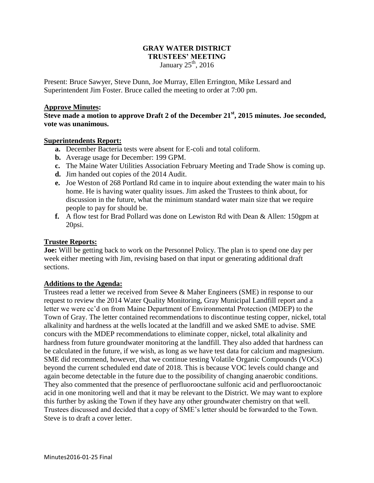## **GRAY WATER DISTRICT TRUSTEES' MEETING** January  $25<sup>th</sup>$ , 2016

Present: Bruce Sawyer, Steve Dunn, Joe Murray, Ellen Errington, Mike Lessard and Superintendent Jim Foster. Bruce called the meeting to order at 7:00 pm.

### **Approve Minutes:**

**Steve made a motion to approve Draft 2 of the December 21st, 2015 minutes. Joe seconded, vote was unanimous.**

### **Superintendents Report:**

- **a.** December Bacteria tests were absent for E-coli and total coliform.
- **b.** Average usage for December: 199 GPM.
- **c.** The Maine Water Utilities Association February Meeting and Trade Show is coming up.
- **d.** Jim handed out copies of the 2014 Audit.
- **e.** Joe Weston of 268 Portland Rd came in to inquire about extending the water main to his home. He is having water quality issues. Jim asked the Trustees to think about, for discussion in the future, what the minimum standard water main size that we require people to pay for should be.
- **f.** A flow test for Brad Pollard was done on Lewiston Rd with Dean & Allen: 150gpm at 20psi.

## **Trustee Reports:**

**Joe:** Will be getting back to work on the Personnel Policy. The plan is to spend one day per week either meeting with Jim, revising based on that input or generating additional draft sections.

## **Additions to the Agenda:**

Trustees read a letter we received from Sevee & Maher Engineers (SME) in response to our request to review the 2014 Water Quality Monitoring, Gray Municipal Landfill report and a letter we were cc'd on from Maine Department of Environmental Protection (MDEP) to the Town of Gray. The letter contained recommendations to discontinue testing copper, nickel, total alkalinity and hardness at the wells located at the landfill and we asked SME to advise. SME concurs with the MDEP recommendations to eliminate copper, nickel, total alkalinity and hardness from future groundwater monitoring at the landfill. They also added that hardness can be calculated in the future, if we wish, as long as we have test data for calcium and magnesium. SME did recommend, however, that we continue testing Volatile Organic Compounds (VOCs) beyond the current scheduled end date of 2018. This is because VOC levels could change and again become detectable in the future due to the possibility of changing anaerobic conditions. They also commented that the presence of perfluorooctane sulfonic acid and perfluorooctanoic acid in one monitoring well and that it may be relevant to the District. We may want to explore this further by asking the Town if they have any other groundwater chemistry on that well. Trustees discussed and decided that a copy of SME's letter should be forwarded to the Town. Steve is to draft a cover letter.